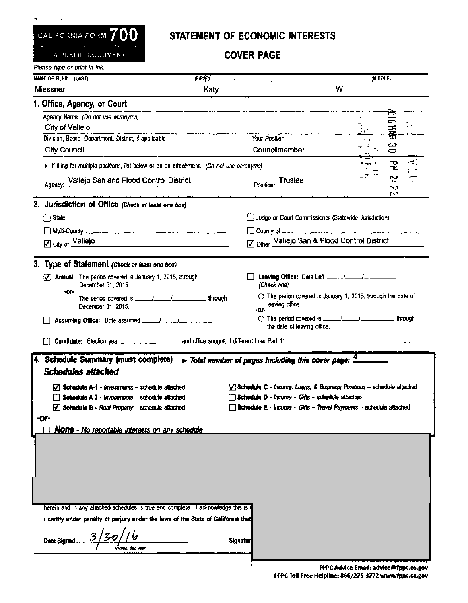

## STATEMENT OF ECONOMIC INTERESTS

**COVER PAGE** 

| A PUBLIC DOCUMENT                                                                                        |         | <b>COVER PAGE</b>                                                               |                                                                                |
|----------------------------------------------------------------------------------------------------------|---------|---------------------------------------------------------------------------------|--------------------------------------------------------------------------------|
| Please type or print in ink.                                                                             |         |                                                                                 |                                                                                |
| NAME OF FILER (LAST)                                                                                     | (FIRST) | $\sim 10^{-1}$                                                                  | (MIDDLE)                                                                       |
| Miessner                                                                                                 | Katy    |                                                                                 | w                                                                              |
| 1. Office, Agency, or Court                                                                              |         |                                                                                 |                                                                                |
| Agency Name (Do not use acronyms)                                                                        |         |                                                                                 |                                                                                |
| City of Vallejo                                                                                          |         |                                                                                 | 16万克                                                                           |
| Division, Board, Department, District, if applicable                                                     |         | Your Position                                                                   | 275                                                                            |
| <b>City Council</b>                                                                                      |         | Councilmember                                                                   | ပ္ပ<br>把手                                                                      |
| $\triangleright$ If filing for multiple positions, fist below or on an attachment. (Do not use acronyms) |         |                                                                                 | 군<br>또<br>$\sim$<br>$\mathbf{r}$ and<br>London.                                |
| Agency: Vallejo San and Flood Control District                                                           |         | Position: Trustee                                                               | ស៊<br>$\overline{r}$<br>᠊᠇<br>$\mathcal{L}_{\mathcal{A}}$                      |
| 2. Jurisdiction of Office (Check at least one box)                                                       |         |                                                                                 |                                                                                |
| $\Box$ State                                                                                             |         | Judge or Court Commissioner (Statewide Jurisdiction)                            |                                                                                |
|                                                                                                          |         |                                                                                 |                                                                                |
| $\boxed{Z}$ City of $\boxed{\text{Value}$ O                                                              |         | 2 Other Vallejo San & Flood Control District                                    |                                                                                |
|                                                                                                          |         |                                                                                 |                                                                                |
| 3. Type of Statement (Check at least one box)                                                            |         |                                                                                 |                                                                                |
| [7] Annual: The period covered is January 1, 2015, through<br>December 31, 2015.                         |         | (Check one)                                                                     |                                                                                |
| -or-<br>December 31, 2015,                                                                               |         | leaving office.<br>-or-                                                         | $\circlearrowright$ The period covered is January 1, 2015, through the date of |
|                                                                                                          |         | the date of leaving office.                                                     | ◯ The period covered is <u>________________</u> _________________ through      |
|                                                                                                          |         |                                                                                 |                                                                                |
| 4. Schedule Summary (must complete)                                                                      |         | $\triangleright$ Total number of pages including this cover page: $\frac{4}{3}$ |                                                                                |
| <b>Schedules attached</b>                                                                                |         |                                                                                 |                                                                                |
| [7] Schedule A-1 - investments - schedule attached                                                       |         |                                                                                 | 7 Schedule C - Income, Loans, & Business Positions -- schedule attached        |
| Schedule A-2 - Investments - schedule attached                                                           |         | Schedule D - Income - Gifts - schedule attached                                 |                                                                                |
| $\sqrt{ }$ Schedule B - Real Property - schedule attached                                                |         |                                                                                 | Schedule E - Income - Gifts - Travel Payments -- schedule attached             |
| -ог-                                                                                                     |         |                                                                                 |                                                                                |
| <b>None</b> - No reportable interests on any schedule                                                    |         |                                                                                 |                                                                                |
|                                                                                                          |         |                                                                                 |                                                                                |
|                                                                                                          |         |                                                                                 |                                                                                |
|                                                                                                          |         |                                                                                 |                                                                                |
|                                                                                                          |         |                                                                                 |                                                                                |
|                                                                                                          |         |                                                                                 |                                                                                |
|                                                                                                          |         |                                                                                 |                                                                                |
| herein and in any attached schedules is true and complete. I acknowledge this is                         |         |                                                                                 |                                                                                |
| I certify under penalty of perjury under the laws of the State of California that                        |         |                                                                                 |                                                                                |
| Date Signed                                                                                              |         | Signatur                                                                        |                                                                                |
|                                                                                                          |         |                                                                                 |                                                                                |

<del>r e ç yanı yaş teyesi eq</del> FPPC Advice Email: advice@fppc.ca.gov

FPPC Toll-Free Helpline: 866/275-3772 www.fppc.ca.gov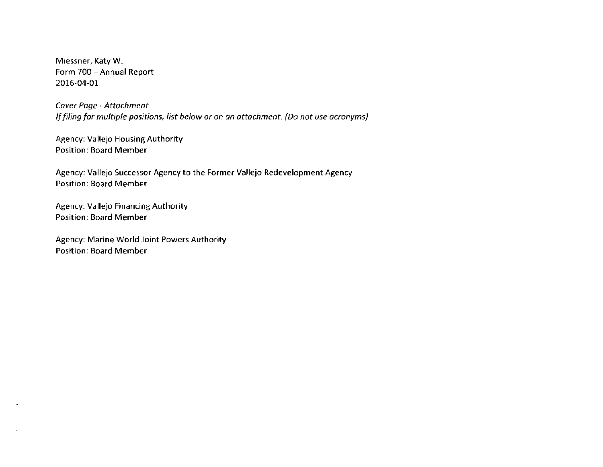Miessner, Katy W. Form 700 - Annual Report 2016-04-01

*Cover Page* - *Attachment If filing for multiple positions, list below or on an attachment. (Do not use acronyms)* 

Agency: Vallejo Housing Authority Position: Board Member

Agency: Vallejo Successor Agency to the Former Vallejo Redevelopment Agency Position: Board Member

Agency: Vallejo Financing Authority Position: Board Member

Agency: Marine World Joint Powers Authority Position: Board Member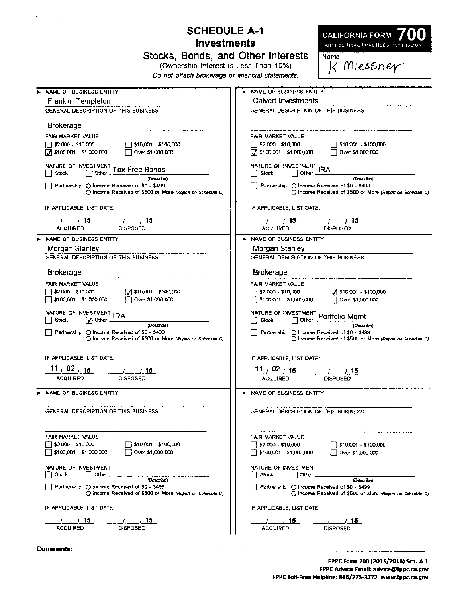## **SCHEDULE A-1 Investments**

**CALIFORNIA FORM** FAIR POLITICAL PRACTICES CONTINSION

**K** Miessner

**Name** 

Stocks, Bonds, and Other Interests

(Ownership Interest is Less Than 10%)

Do not attach brokerage or financial statements.

| NAME OF BUSINESS ENTITY                                                                                                                                                                              | NAME OF BUSINESS ENTITY                                                                                                                                                           |  |  |  |
|------------------------------------------------------------------------------------------------------------------------------------------------------------------------------------------------------|-----------------------------------------------------------------------------------------------------------------------------------------------------------------------------------|--|--|--|
| Franklin Templeton                                                                                                                                                                                   | <b>Calvert Investments</b>                                                                                                                                                        |  |  |  |
| GENERAL DESCRIPTION OF THIS BUSINESS                                                                                                                                                                 | GENERAL DESCRIPTION OF THIS BUSINESS                                                                                                                                              |  |  |  |
| <b>Brokerage</b>                                                                                                                                                                                     |                                                                                                                                                                                   |  |  |  |
| FAIR MARKET VALUE                                                                                                                                                                                    | FAIR MARKET VALUE                                                                                                                                                                 |  |  |  |
| $\sqrt{2,000 - 10,000}$<br>    \$10,001 - \$100,000                                                                                                                                                  | $\sqrt{52,000}$ - \$10,000<br>    \$10,001 - \$100,000                                                                                                                            |  |  |  |
| → \$100,001 - \$1,000,000 → Dover \$1,000,000                                                                                                                                                        | 5100,001 - \$1,000,000<br>Over \$1,000,000                                                                                                                                        |  |  |  |
| (Dascribe)<br>Partnership () Income Received of \$0 - \$499<br>O Income Received of \$500 or More (Report on Schedule C)                                                                             | NATURE OF INVESTMENT IRA<br>$\Box$ Other<br>∏ Stock<br>(Describe)<br>  Partnership (O Income Received of \$0 - \$499<br>C Income Received of \$500 or More (Report on Schedule C) |  |  |  |
| IF APPLICABLE, LIST DATE:                                                                                                                                                                            | IF APPLICABLE, LIST DATE:                                                                                                                                                         |  |  |  |
| <b>ACQUIRED</b>                                                                                                                                                                                      | <u>/ 15 / 15 / 15</u><br><b>ACQUIRED</b>                                                                                                                                          |  |  |  |
| NAME OF BUSINESS ENTITY                                                                                                                                                                              | > NAME OF BUSINESS ENTITY                                                                                                                                                         |  |  |  |
| Morgan Stanley                                                                                                                                                                                       | Morgan Stanley                                                                                                                                                                    |  |  |  |
| GENERAL DESCRIPTION OF THIS BUSINESS                                                                                                                                                                 | GENERAL DESCRIPTION OF THIS BUSINESS                                                                                                                                              |  |  |  |
| Brokerage                                                                                                                                                                                            | Brokerage                                                                                                                                                                         |  |  |  |
| FAIR MARKET VALUE                                                                                                                                                                                    | FAIR MARKET VALUE                                                                                                                                                                 |  |  |  |
| $2$ \$10,001 - \$100,000<br>\$2,000 - \$10,000                                                                                                                                                       | $\frac{1}{2}$ \$2,000 - \$10,000<br>$7$ \$10,001 - \$100,000                                                                                                                      |  |  |  |
| \$100,001 - \$1,000,000 [ ] Over \$1,000,000                                                                                                                                                         | \$100,001 - \$1,000,000<br>Over \$1,000,000                                                                                                                                       |  |  |  |
| NATURE OF INVESTMENT IRA<br>$\sqrt{2}$ Other $\frac{11575}{2}$<br>Stock<br>(Doscribe)<br>Partnership (C) Income Received of \$0 - \$499<br>◯ Income Received of \$500 or Mare (Report on Schedule C) | NATURE OF INVESTMENT Portfolio Mgmt<br>(Describe)<br>[   Partnership   ⊝ Income Received of \$0 - \$499<br>() Income Received of \$500 or More (Report on Schedule C)             |  |  |  |
| IF APPLICABLE, LIST DATE:                                                                                                                                                                            | IF APPLICABLE, LIST DATE:                                                                                                                                                         |  |  |  |
| 11 $/$ 02 $/$ 15<br>$\frac{1}{2}$ $\frac{1}{2}$                                                                                                                                                      | $\frac{11}{10}$ , 02 $\frac{15}{15}$ $\frac{1}{10}$ 15                                                                                                                            |  |  |  |
| <b>ACQUIRED</b><br><b>DISPOSED</b>                                                                                                                                                                   | <b>ACQUIRED</b><br>DISPOSED                                                                                                                                                       |  |  |  |
| NAME OF BUSINESS ENTITY                                                                                                                                                                              | > NAME OF BUSINESS ENTITY                                                                                                                                                         |  |  |  |
|                                                                                                                                                                                                      |                                                                                                                                                                                   |  |  |  |
| GENERAL DESCRIPTION OF THIS BUSINESS                                                                                                                                                                 | GENERAL DESCRIPTION OF THIS BUSINESS.                                                                                                                                             |  |  |  |
| FAIR MARKET VALUE                                                                                                                                                                                    | FAIR MARKET VALUE                                                                                                                                                                 |  |  |  |
| $\sqrt{2,000}$ - \$10,000<br>\$10,001 - \$100,000                                                                                                                                                    | $\Box$ \$2,000 - \$10,000<br>\$10,001 - \$100,000                                                                                                                                 |  |  |  |
| \$100,001 - \$1,000,000<br>Over \$1,000,000                                                                                                                                                          | $\Box$ \$100,001 - \$1,000,000<br>Over \$1,000,000                                                                                                                                |  |  |  |
| NATURE OF INVESTMENT<br>Stock<br>Other.                                                                                                                                                              | NATURE OF INVESTMENT<br>Stock<br>Other<br>ΙI                                                                                                                                      |  |  |  |
| (Describe)                                                                                                                                                                                           | (Describe)                                                                                                                                                                        |  |  |  |
| Partnership $\bigcirc$ thronne Received of \$0 - \$499<br>() income Received of \$500 or More (Report on Schedule C)                                                                                 | Partnership () Income Received of \$0 - \$499<br>() Income Received of \$500 or More (Report on Schedule C)                                                                       |  |  |  |
| IF APPLICABLE, LIST DATE:                                                                                                                                                                            | IF APPLICABLE, LIST DATE.                                                                                                                                                         |  |  |  |
| 15.                                                                                                                                                                                                  | 15                                                                                                                                                                                |  |  |  |
| <b>OISPOSED</b><br><b>ACQUIRED</b>                                                                                                                                                                   | DISPOSED<br><b>ACQUIRED</b>                                                                                                                                                       |  |  |  |
|                                                                                                                                                                                                      |                                                                                                                                                                                   |  |  |  |

Comments: \_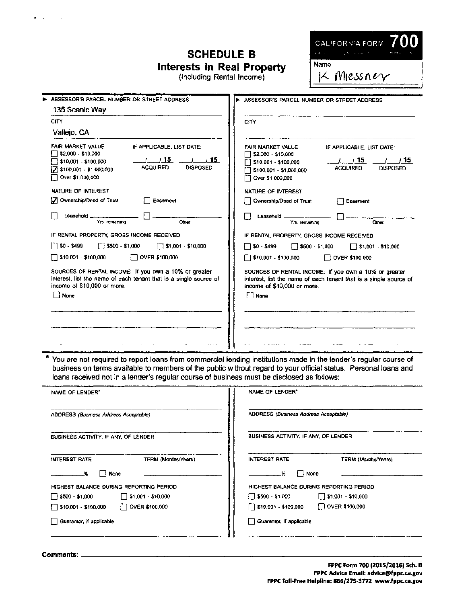| <b>SCHEDULE B</b><br>Interests in Real Property<br>(Including Rental Income)                                                                                                                                                                                                                                                                                                                                                                                                                                                                                                                                                                                                                      | CALIFORNIA FORM<br>$\mathbf{r}(\Delta, \mathbf{w}) = \mathbf{r}^T \mathbf{w}^T \mathbf{y} + \mathbf{r}^T \mathbf{w}^T \mathbf{y} + \mathbf{r}^T \mathbf{y}$<br>Name<br>K Miessn $\epsilon_{\mathrm{V}}$                                                                                                                                                                                                                                                                                                                                                                                                                                                                         |
|---------------------------------------------------------------------------------------------------------------------------------------------------------------------------------------------------------------------------------------------------------------------------------------------------------------------------------------------------------------------------------------------------------------------------------------------------------------------------------------------------------------------------------------------------------------------------------------------------------------------------------------------------------------------------------------------------|---------------------------------------------------------------------------------------------------------------------------------------------------------------------------------------------------------------------------------------------------------------------------------------------------------------------------------------------------------------------------------------------------------------------------------------------------------------------------------------------------------------------------------------------------------------------------------------------------------------------------------------------------------------------------------|
| ASSESSOR'S PARCEL NUMBER OR STREET ADDRESS<br>135 Scenic Way<br>CITY.                                                                                                                                                                                                                                                                                                                                                                                                                                                                                                                                                                                                                             | ASSESSOR'S PARCEL NUMBER OR STREET ADDRESS                                                                                                                                                                                                                                                                                                                                                                                                                                                                                                                                                                                                                                      |
| Vallejo, CA<br>FAIR MARKET VALUE<br>IF APPLICABLE, LIST DATE:<br>32,000 - \$10,000<br>$(1)$ $(15)$<br>$\frac{1}{1}$ $\frac{15}{15}$<br>310,001 - \$100,000<br><b>ACQUIRED</b><br><b>DISPOSED</b><br>7 \$100,001 - \$1,000,000<br>Over \$1,000,000<br>NATURE OF INTEREST<br>Ownership/Deed of Trust<br>Easement<br>Leasehold _<br>Yrs, remaining<br>Other<br>IF RENTAL PROPERTY, GROSS INCOME RECEIVED<br>$$0 - $499$<br>$\Box$ \$500 - \$1,000<br>$\Box$ \$1,001 - \$10,000<br>$\Box$ \$10,001 - \$100,000<br>OVER \$100,000<br>SOURCES OF RENTAL INCOME: If you own a 10% or greater<br>interest, list the name of each tenant that is a single source of<br>income of \$10,000 or more.<br>None | CITY<br><b>FAIR MARKET VALUE</b><br>IF APPLICABLE, LIST DATE:<br>\$2,000 - \$10,000<br>1.715<br>775<br>1 \$10,001 - \$100,000<br><b>ACQUIRED</b><br>DISPOSED<br>1 \$100,001 - \$1,000,000<br>Dover \$1,000,000<br>NATURE OF INTEREST<br>Ownership/Deed of Trust<br><b>Easement</b><br>Leasehold<br>Yrs, remaining<br>Other<br>IF RENTAL PROPERTY, GROSS INCOME RECEIVED<br>$\Box$ \$0 - \$499<br>$\Box$ \$500 $\cdot$ \$1,000<br>$\Box$ \$1,001 - \$10,000<br>510,001 - \$100,000<br>OVER \$100,000<br>SOURCES OF RENTAL INCOME: If you own a 10% or greater<br>interest, list the name of each tenant that is a single source of<br>income of \$10,000 or more.<br><b>None</b> |
|                                                                                                                                                                                                                                                                                                                                                                                                                                                                                                                                                                                                                                                                                                   |                                                                                                                                                                                                                                                                                                                                                                                                                                                                                                                                                                                                                                                                                 |

\* You are not required to report loans from commercial lending institutions made in the lender's regular course of business on terms available to members of the public without regard to your official status. Personal loans and loans received not in a lender's regular course of business must be disclosed as follows:

| NAME OF LENDER"                                      | NAME OF LENDER*                               |  |  |  |
|------------------------------------------------------|-----------------------------------------------|--|--|--|
| ADDRESS (Business Address Acceptable)                | ADDRESS (Business Address Acceptable)         |  |  |  |
| BUSINESS ACTIVITY. IF ANY, OF LENDER                 | BUSINESS ACTIVITY, IF ANY, OF LENDER          |  |  |  |
| TERM (Months/Years)<br><b>INTEREST RATE</b>          | <b>INTEREST RATE</b><br>TERM (Months/Years)   |  |  |  |
| None<br>ш<br>-- %                                    | ! I None<br>.%                                |  |  |  |
| HIGHEST BALANCE DURING REPORTING PERIOD              | HIGHEST BALANCE DURING REPORTING PERIOD       |  |  |  |
| $\Box$ \$500 - \$1,000 $\Box$ \$1,001 - \$10,000     | $500 - 51,000$<br>$\sqrt{31,001}$ - \$10,000  |  |  |  |
| $\Box$ \$10,001 - \$100,000<br>$\Box$ OVER \$100,000 | $\Box$ OVER \$100,000<br>\$10,001 - \$100,000 |  |  |  |
| Guarantor, if applicable                             | Guarantor, if applicable                      |  |  |  |
|                                                      |                                               |  |  |  |

Comments: \_\_\_\_\_\_\_\_\_\_

 $\mathbf{z} = \mathbf{z}$  .

 $\sim 10$